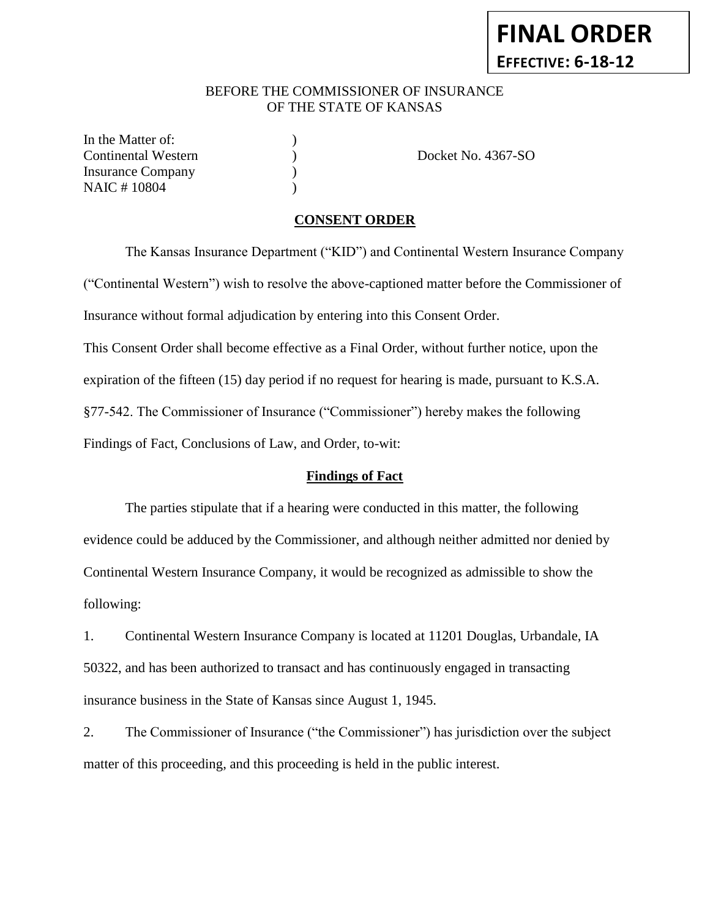# BEFORE THE COMMISSIONER OF INSURANCE OF THE STATE OF KANSAS

In the Matter of: Insurance Company (1) NAIC # 10804 (1982)

Continental Western ) Docket No. 4367-SO

# **CONSENT ORDER**

The Kansas Insurance Department ("KID") and Continental Western Insurance Company ("Continental Western") wish to resolve the above-captioned matter before the Commissioner of Insurance without formal adjudication by entering into this Consent Order. This Consent Order shall become effective as a Final Order, without further notice, upon the expiration of the fifteen (15) day period if no request for hearing is made, pursuant to K.S.A. §77-542. The Commissioner of Insurance ("Commissioner") hereby makes the following Findings of Fact, Conclusions of Law, and Order, to-wit:

### **Findings of Fact**

The parties stipulate that if a hearing were conducted in this matter, the following evidence could be adduced by the Commissioner, and although neither admitted nor denied by Continental Western Insurance Company, it would be recognized as admissible to show the following:

1. Continental Western Insurance Company is located at 11201 Douglas, Urbandale, IA 50322, and has been authorized to transact and has continuously engaged in transacting insurance business in the State of Kansas since August 1, 1945.

2. The Commissioner of Insurance ("the Commissioner") has jurisdiction over the subject matter of this proceeding, and this proceeding is held in the public interest.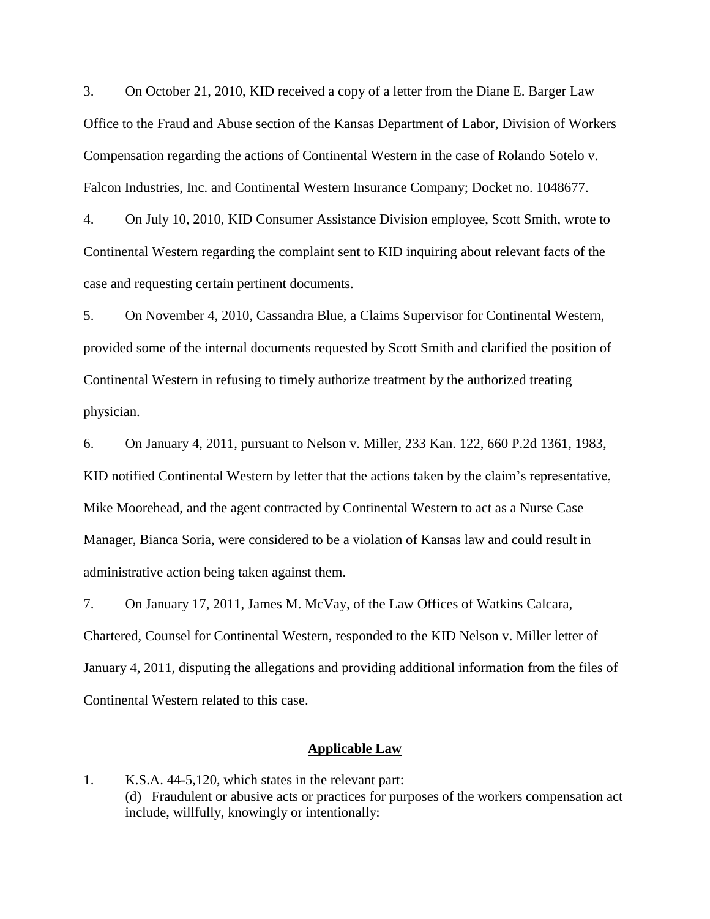3. On October 21, 2010, KID received a copy of a letter from the Diane E. Barger Law Office to the Fraud and Abuse section of the Kansas Department of Labor, Division of Workers Compensation regarding the actions of Continental Western in the case of Rolando Sotelo v. Falcon Industries, Inc. and Continental Western Insurance Company; Docket no. 1048677.

4. On July 10, 2010, KID Consumer Assistance Division employee, Scott Smith, wrote to Continental Western regarding the complaint sent to KID inquiring about relevant facts of the case and requesting certain pertinent documents.

5. On November 4, 2010, Cassandra Blue, a Claims Supervisor for Continental Western, provided some of the internal documents requested by Scott Smith and clarified the position of Continental Western in refusing to timely authorize treatment by the authorized treating physician.

6. On January 4, 2011, pursuant to Nelson v. Miller, 233 Kan. 122, 660 P.2d 1361, 1983, KID notified Continental Western by letter that the actions taken by the claim's representative, Mike Moorehead, and the agent contracted by Continental Western to act as a Nurse Case Manager, Bianca Soria, were considered to be a violation of Kansas law and could result in administrative action being taken against them.

7. On January 17, 2011, James M. McVay, of the Law Offices of Watkins Calcara, Chartered, Counsel for Continental Western, responded to the KID Nelson v. Miller letter of January 4, 2011, disputing the allegations and providing additional information from the files of Continental Western related to this case.

#### **Applicable Law**

1. K.S.A. 44-5,120, which states in the relevant part: (d) Fraudulent or abusive acts or practices for purposes of the workers compensation act include, willfully, knowingly or intentionally: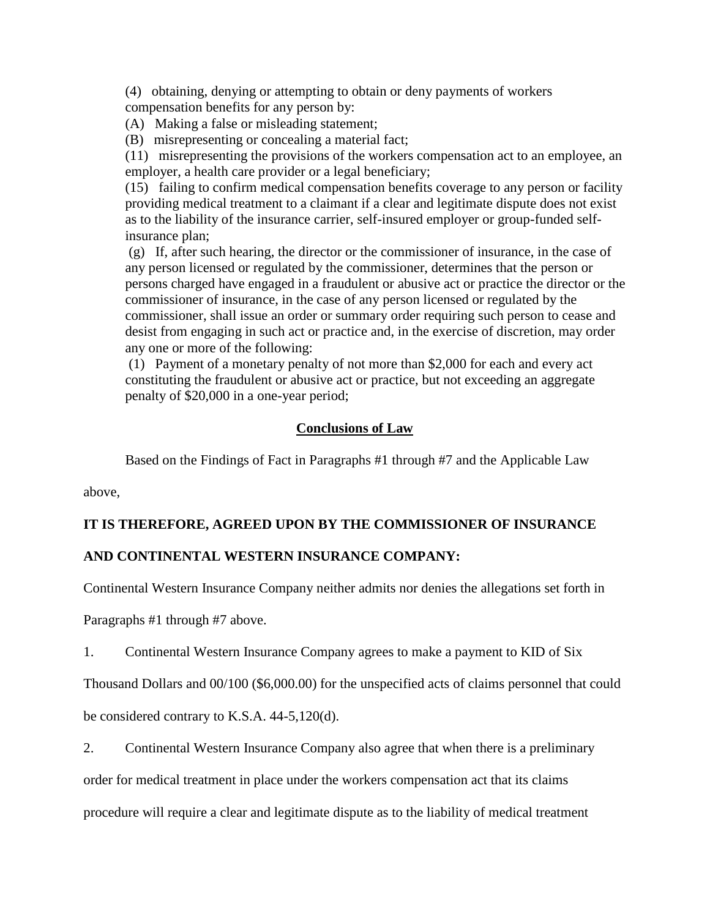(4) obtaining, denying or attempting to obtain or deny payments of workers compensation benefits for any person by:

(A) Making a false or misleading statement;

(B) misrepresenting or concealing a material fact;

(11) misrepresenting the provisions of the workers compensation act to an employee, an employer, a health care provider or a legal beneficiary;

(15) failing to confirm medical compensation benefits coverage to any person or facility providing medical treatment to a claimant if a clear and legitimate dispute does not exist as to the liability of the insurance carrier, self-insured employer or group-funded selfinsurance plan;

(g) If, after such hearing, the director or the commissioner of insurance, in the case of any person licensed or regulated by the commissioner, determines that the person or persons charged have engaged in a fraudulent or abusive act or practice the director or the commissioner of insurance, in the case of any person licensed or regulated by the commissioner, shall issue an order or summary order requiring such person to cease and desist from engaging in such act or practice and, in the exercise of discretion, may order any one or more of the following:

(1) Payment of a monetary penalty of not more than \$2,000 for each and every act constituting the fraudulent or abusive act or practice, but not exceeding an aggregate penalty of \$20,000 in a one-year period;

# **Conclusions of Law**

Based on the Findings of Fact in Paragraphs #1 through #7 and the Applicable Law

above,

### **IT IS THEREFORE, AGREED UPON BY THE COMMISSIONER OF INSURANCE**

# **AND CONTINENTAL WESTERN INSURANCE COMPANY:**

Continental Western Insurance Company neither admits nor denies the allegations set forth in

Paragraphs #1 through #7 above.

1. Continental Western Insurance Company agrees to make a payment to KID of Six

Thousand Dollars and 00/100 (\$6,000.00) for the unspecified acts of claims personnel that could

be considered contrary to K.S.A. 44-5,120(d).

2. Continental Western Insurance Company also agree that when there is a preliminary

order for medical treatment in place under the workers compensation act that its claims

procedure will require a clear and legitimate dispute as to the liability of medical treatment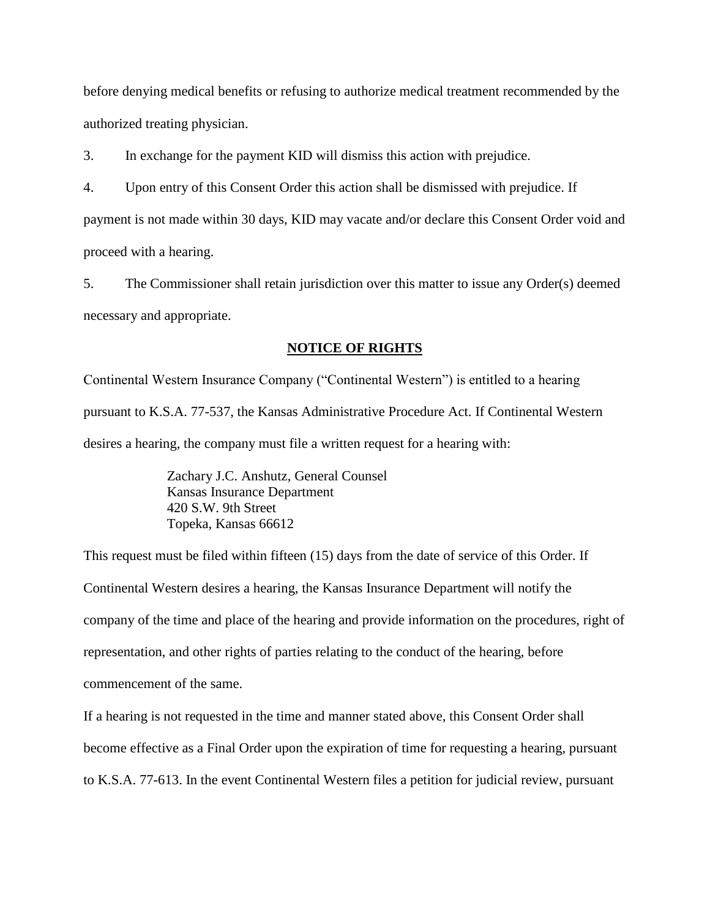before denying medical benefits or refusing to authorize medical treatment recommended by the authorized treating physician.

3. In exchange for the payment KID will dismiss this action with prejudice.

4. Upon entry of this Consent Order this action shall be dismissed with prejudice. If

payment is not made within 30 days, KID may vacate and/or declare this Consent Order void and proceed with a hearing.

5. The Commissioner shall retain jurisdiction over this matter to issue any Order(s) deemed necessary and appropriate.

#### **NOTICE OF RIGHTS**

Continental Western Insurance Company ("Continental Western") is entitled to a hearing pursuant to K.S.A. 77-537, the Kansas Administrative Procedure Act. If Continental Western desires a hearing, the company must file a written request for a hearing with:

> Zachary J.C. Anshutz, General Counsel Kansas Insurance Department 420 S.W. 9th Street Topeka, Kansas 66612

This request must be filed within fifteen (15) days from the date of service of this Order. If Continental Western desires a hearing, the Kansas Insurance Department will notify the company of the time and place of the hearing and provide information on the procedures, right of representation, and other rights of parties relating to the conduct of the hearing, before commencement of the same.

If a hearing is not requested in the time and manner stated above, this Consent Order shall become effective as a Final Order upon the expiration of time for requesting a hearing, pursuant to K.S.A. 77-613. In the event Continental Western files a petition for judicial review, pursuant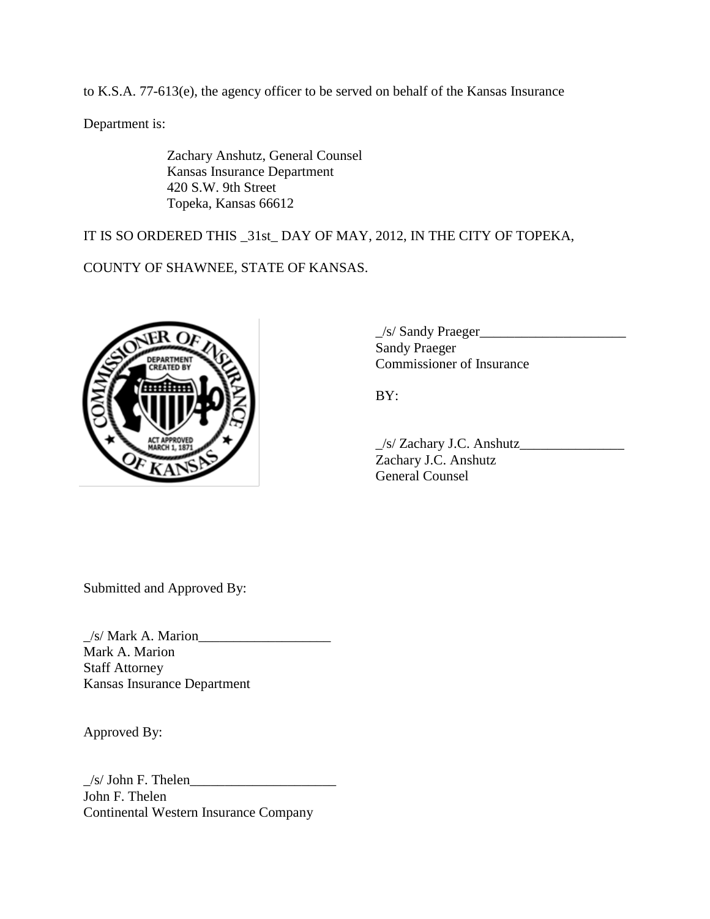to K.S.A. 77-613(e), the agency officer to be served on behalf of the Kansas Insurance

Department is:

Zachary Anshutz, General Counsel Kansas Insurance Department 420 S.W. 9th Street Topeka, Kansas 66612

IT IS SO ORDERED THIS \_31st\_ DAY OF MAY, 2012, IN THE CITY OF TOPEKA,

COUNTY OF SHAWNEE, STATE OF KANSAS.



 $\angle$ s/ Sandy Praeger $\angle$ Sandy Praeger Commissioner of Insurance

BY:

\_/s/ Zachary J.C. Anshutz\_\_\_\_\_\_\_\_\_\_\_\_\_\_\_ Zachary J.C. Anshutz General Counsel

Submitted and Approved By:

\_/s/ Mark A. Marion\_\_\_\_\_\_\_\_\_\_\_\_\_\_\_\_\_\_\_ Mark A. Marion Staff Attorney Kansas Insurance Department

Approved By:

 $\frac{1}{s}$  John F. Thelen John F. Thelen Continental Western Insurance Company